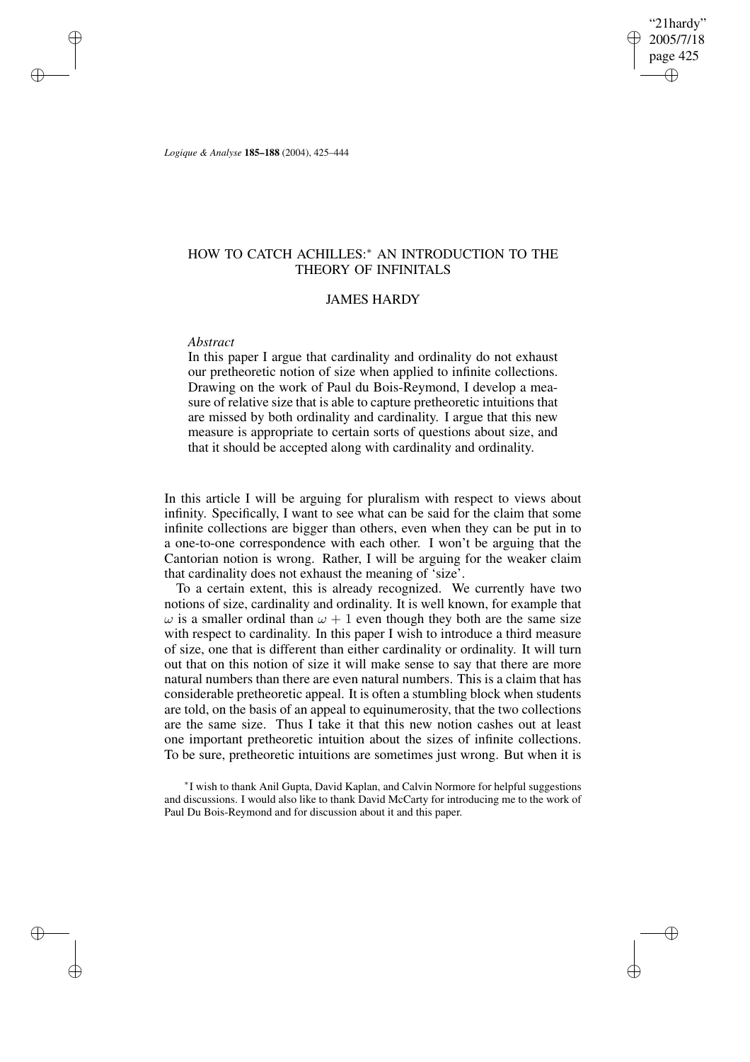"21hardy" 2005/7/18 page 425 ✐ ✐

✐

✐

*Logique & Analyse* **185–188** (2004), 425–444

# HOW TO CATCH ACHILLES:<sup>\*</sup> AN INTRODUCTION TO THE THEORY OF INFINITALS

# JAMES HARDY

## *Abstract*

✐

✐

✐

✐

In this paper I argue that cardinality and ordinality do not exhaust our pretheoretic notion of size when applied to infinite collections. Drawing on the work of Paul du Bois-Reymond, I develop a measure of relative size that is able to capture pretheoretic intuitions that are missed by both ordinality and cardinality. I argue that this new measure is appropriate to certain sorts of questions about size, and that it should be accepted along with cardinality and ordinality.

In this article I will be arguing for pluralism with respect to views about infinity. Specifically, I want to see what can be said for the claim that some infinite collections are bigger than others, even when they can be put in to a one-to-one correspondence with each other. I won't be arguing that the Cantorian notion is wrong. Rather, I will be arguing for the weaker claim that cardinality does not exhaust the meaning of 'size'.

To a certain extent, this is already recognized. We currently have two notions of size, cardinality and ordinality. It is well known, for example that  $\omega$  is a smaller ordinal than  $\omega + 1$  even though they both are the same size with respect to cardinality. In this paper I wish to introduce a third measure of size, one that is different than either cardinality or ordinality. It will turn out that on this notion of size it will make sense to say that there are more natural numbers than there are even natural numbers. This is a claim that has considerable pretheoretic appeal. It is often a stumbling block when students are told, on the basis of an appeal to equinumerosity, that the two collections are the same size. Thus I take it that this new notion cashes out at least one important pretheoretic intuition about the sizes of infinite collections. To be sure, pretheoretic intuitions are sometimes just wrong. But when it is

∗ I wish to thank Anil Gupta, David Kaplan, and Calvin Normore for helpful suggestions and discussions. I would also like to thank David McCarty for introducing me to the work of Paul Du Bois-Reymond and for discussion about it and this paper.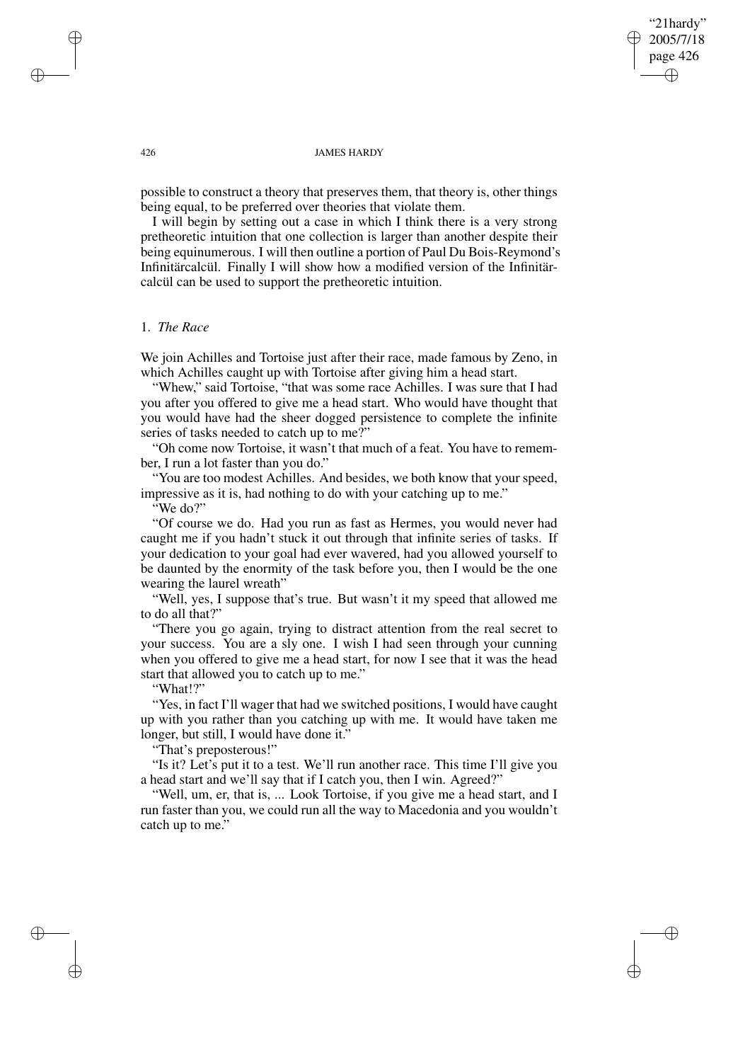# "21hardy" 2005/7/18 page 426 ✐ ✐

✐

✐

#### 426 JAMES HARDY

possible to construct a theory that preserves them, that theory is, other things being equal, to be preferred over theories that violate them.

I will begin by setting out a case in which I think there is a very strong pretheoretic intuition that one collection is larger than another despite their being equinumerous. I will then outline a portion of Paul Du Bois-Reymond's Infinitärcalcül. Finally I will show how a modified version of the Infinitärcalcül can be used to support the pretheoretic intuition.

# 1. *The Race*

We join Achilles and Tortoise just after their race, made famous by Zeno, in which Achilles caught up with Tortoise after giving him a head start.

"Whew," said Tortoise, "that was some race Achilles. I was sure that I had you after you offered to give me a head start. Who would have thought that you would have had the sheer dogged persistence to complete the infinite series of tasks needed to catch up to me?"

"Oh come now Tortoise, it wasn't that much of a feat. You have to remember, I run a lot faster than you do."

"You are too modest Achilles. And besides, we both know that your speed, impressive as it is, had nothing to do with your catching up to me."

"We do?"

"Of course we do. Had you run as fast as Hermes, you would never had caught me if you hadn't stuck it out through that infinite series of tasks. If your dedication to your goal had ever wavered, had you allowed yourself to be daunted by the enormity of the task before you, then I would be the one wearing the laurel wreath"

"Well, yes, I suppose that's true. But wasn't it my speed that allowed me to do all that?"

"There you go again, trying to distract attention from the real secret to your success. You are a sly one. I wish I had seen through your cunning when you offered to give me a head start, for now I see that it was the head start that allowed you to catch up to me."

"What!?"

"Yes, in fact I'll wager that had we switched positions, I would have caught up with you rather than you catching up with me. It would have taken me longer, but still, I would have done it."

"That's preposterous!"

"Is it? Let's put it to a test. We'll run another race. This time I'll give you a head start and we'll say that if I catch you, then I win. Agreed?"

"Well, um, er, that is, ... Look Tortoise, if you give me a head start, and I run faster than you, we could run all the way to Macedonia and you wouldn't catch up to me."

✐

✐

✐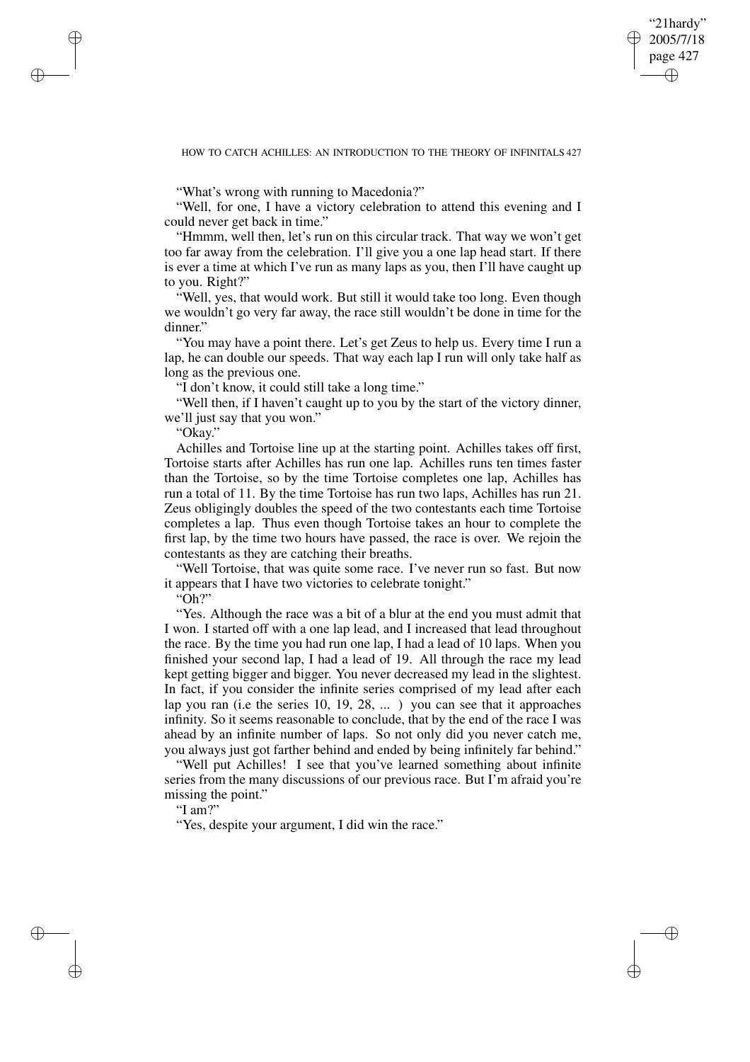✐

## HOW TO CATCH ACHILLES: AN INTRODUCTION TO THE THEORY OF INFINITALS 427

"What's wrong with running to Macedonia?"

"Well, for one, I have a victory celebration to attend this evening and I could never get back in time."

"Hmmm, well then, let's run on this circular track. That way we won't get too far away from the celebration. I'll give you a one lap head start. If there is ever a time at which I've run as many laps as you, then I'll have caught up to you. Right?"

"Well, yes, that would work. But still it would take too long. Even though we wouldn't go very far away, the race still wouldn't be done in time for the dinner."

"You may have a point there. Let's get Zeus to help us. Every time I run a lap, he can double our speeds. That way each lap I run will only take half as long as the previous one.

"I don't know, it could still take a long time."

"Well then, if I haven't caught up to you by the start of the victory dinner, we'll just say that you won."

"Okay."

✐

✐

✐

✐

Achilles and Tortoise line up at the starting point. Achilles takes off first, Tortoise starts after Achilles has run one lap. Achilles runs ten times faster than the Tortoise, so by the time Tortoise completes one lap, Achilles has run a total of 11. By the time Tortoise has run two laps, Achilles has run 21. Zeus obligingly doubles the speed of the two contestants each time Tortoise completes a lap. Thus even though Tortoise takes an hour to complete the first lap, by the time two hours have passed, the race is over. We rejoin the contestants as they are catching their breaths.

"Well Tortoise, that was quite some race. I've never run so fast. But now it appears that I have two victories to celebrate tonight."

"Oh?"

"Yes. Although the race was a bit of a blur at the end you must admit that I won. I started off with a one lap lead, and I increased that lead throughout the race. By the time you had run one lap, I had a lead of 10 laps. When you finished your second lap, I had a lead of 19. All through the race my lead kept getting bigger and bigger. You never decreased my lead in the slightest. In fact, if you consider the infinite series comprised of my lead after each lap you ran (i.e the series 10, 19, 28, ... ) you can see that it approaches infinity. So it seems reasonable to conclude, that by the end of the race I was ahead by an infinite number of laps. So not only did you never catch me, you always just got farther behind and ended by being infinitely far behind."

"Well put Achilles! I see that you've learned something about infinite series from the many discussions of our previous race. But I'm afraid you're missing the point."

"I am?"

"Yes, despite your argument, I did win the race."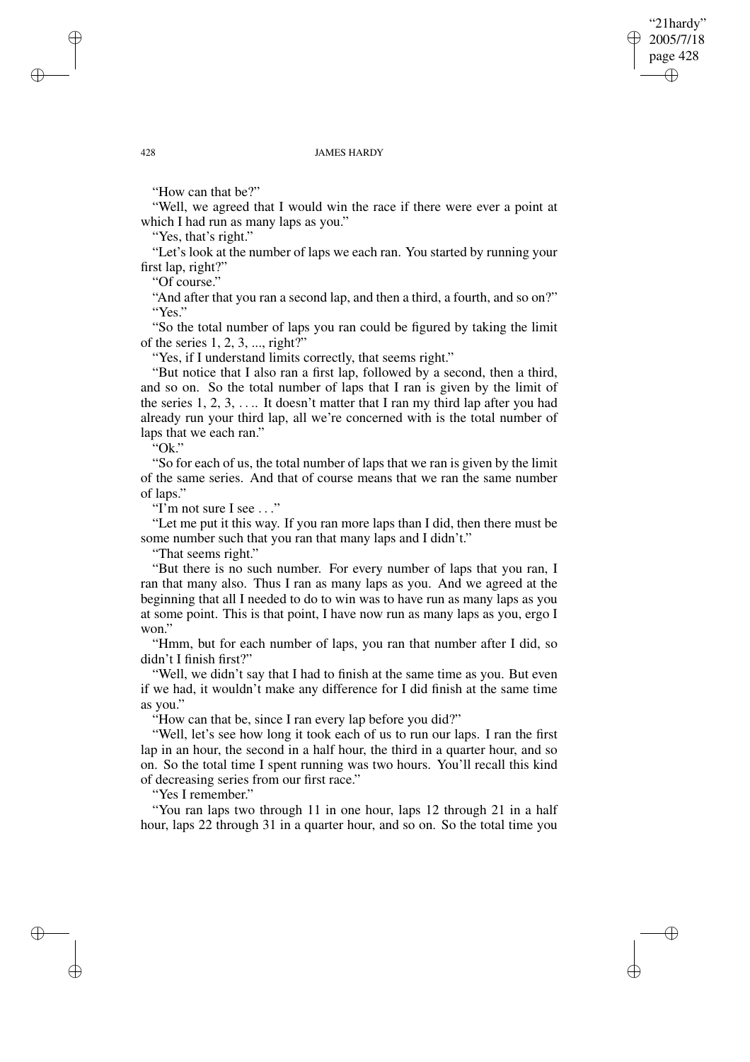✐

#### 428 JAMES HARDY

"How can that be?"

"Well, we agreed that I would win the race if there were ever a point at which I had run as many laps as you."

"Yes, that's right."

"Let's look at the number of laps we each ran. You started by running your first lap, right?"

"Of course."

"And after that you ran a second lap, and then a third, a fourth, and so on?" "Yes."

"So the total number of laps you ran could be figured by taking the limit of the series  $1, 2, 3, \dots$ , right?"

"Yes, if I understand limits correctly, that seems right."

"But notice that I also ran a first lap, followed by a second, then a third, and so on. So the total number of laps that I ran is given by the limit of the series  $1, 2, 3, \ldots$  It doesn't matter that I ran my third lap after you had already run your third lap, all we're concerned with is the total number of laps that we each ran."

 $\cdot$ Ok."

"So for each of us, the total number of laps that we ran is given by the limit of the same series. And that of course means that we ran the same number of laps."

"I'm not sure I see ..."

"Let me put it this way. If you ran more laps than I did, then there must be some number such that you ran that many laps and I didn't."

"That seems right."

"But there is no such number. For every number of laps that you ran, I ran that many also. Thus I ran as many laps as you. And we agreed at the beginning that all I needed to do to win was to have run as many laps as you at some point. This is that point, I have now run as many laps as you, ergo I won."

"Hmm, but for each number of laps, you ran that number after I did, so didn't I finish first?"

"Well, we didn't say that I had to finish at the same time as you. But even if we had, it wouldn't make any difference for I did finish at the same time as you."

"How can that be, since I ran every lap before you did?"

"Well, let's see how long it took each of us to run our laps. I ran the first lap in an hour, the second in a half hour, the third in a quarter hour, and so on. So the total time I spent running was two hours. You'll recall this kind of decreasing series from our first race."

"Yes I remember."

"You ran laps two through 11 in one hour, laps 12 through 21 in a half hour, laps 22 through 31 in a quarter hour, and so on. So the total time you

✐

✐

✐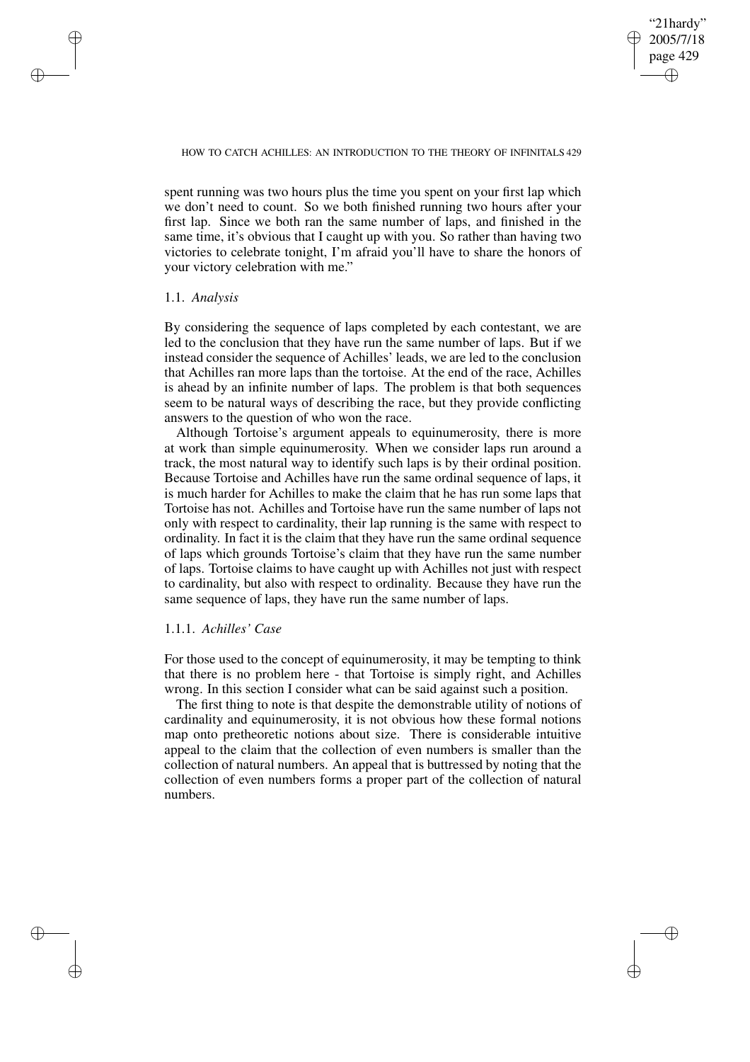## "21hardy" 2005/7/18 page 429 ✐ ✐

✐

✐

## HOW TO CATCH ACHILLES: AN INTRODUCTION TO THE THEORY OF INFINITALS 429

spent running was two hours plus the time you spent on your first lap which we don't need to count. So we both finished running two hours after your first lap. Since we both ran the same number of laps, and finished in the same time, it's obvious that I caught up with you. So rather than having two victories to celebrate tonight, I'm afraid you'll have to share the honors of your victory celebration with me."

# 1.1. *Analysis*

✐

✐

✐

✐

By considering the sequence of laps completed by each contestant, we are led to the conclusion that they have run the same number of laps. But if we instead consider the sequence of Achilles' leads, we are led to the conclusion that Achilles ran more laps than the tortoise. At the end of the race, Achilles is ahead by an infinite number of laps. The problem is that both sequences seem to be natural ways of describing the race, but they provide conflicting answers to the question of who won the race.

Although Tortoise's argument appeals to equinumerosity, there is more at work than simple equinumerosity. When we consider laps run around a track, the most natural way to identify such laps is by their ordinal position. Because Tortoise and Achilles have run the same ordinal sequence of laps, it is much harder for Achilles to make the claim that he has run some laps that Tortoise has not. Achilles and Tortoise have run the same number of laps not only with respect to cardinality, their lap running is the same with respect to ordinality. In fact it is the claim that they have run the same ordinal sequence of laps which grounds Tortoise's claim that they have run the same number of laps. Tortoise claims to have caught up with Achilles not just with respect to cardinality, but also with respect to ordinality. Because they have run the same sequence of laps, they have run the same number of laps.

## 1.1.1. *Achilles' Case*

For those used to the concept of equinumerosity, it may be tempting to think that there is no problem here - that Tortoise is simply right, and Achilles wrong. In this section I consider what can be said against such a position.

The first thing to note is that despite the demonstrable utility of notions of cardinality and equinumerosity, it is not obvious how these formal notions map onto pretheoretic notions about size. There is considerable intuitive appeal to the claim that the collection of even numbers is smaller than the collection of natural numbers. An appeal that is buttressed by noting that the collection of even numbers forms a proper part of the collection of natural numbers.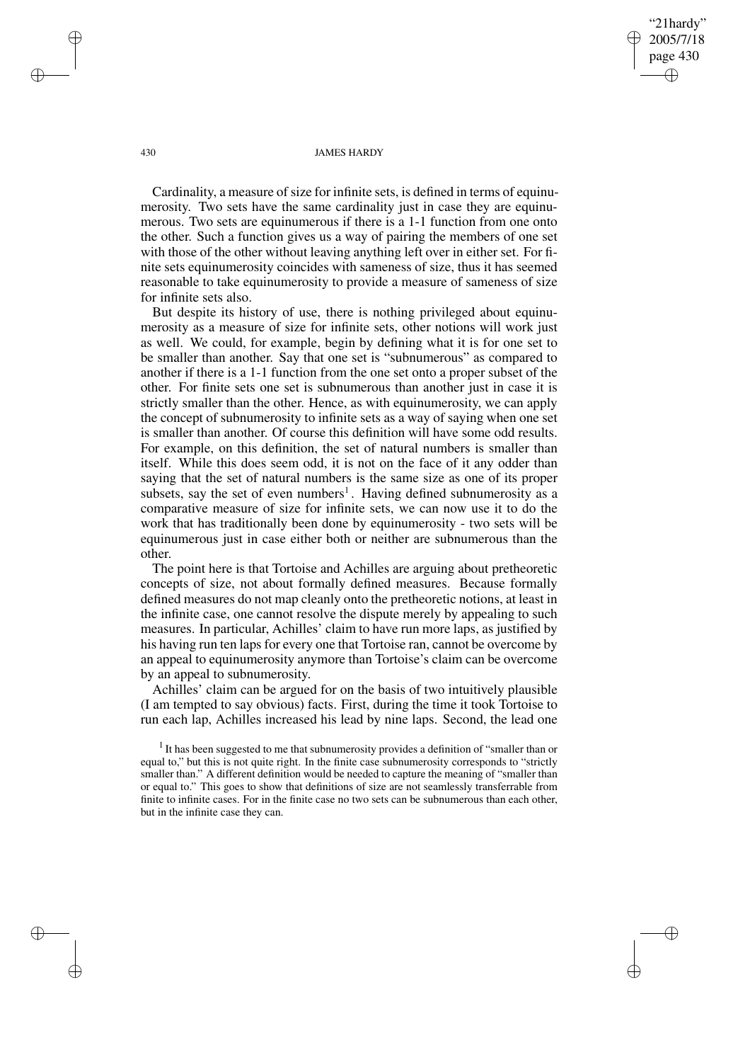"21hardy" 2005/7/18 page 430 ✐ ✐

✐

✐

#### 430 JAMES HARDY

Cardinality, a measure of size for infinite sets, is defined in terms of equinumerosity. Two sets have the same cardinality just in case they are equinumerous. Two sets are equinumerous if there is a 1-1 function from one onto the other. Such a function gives us a way of pairing the members of one set with those of the other without leaving anything left over in either set. For finite sets equinumerosity coincides with sameness of size, thus it has seemed reasonable to take equinumerosity to provide a measure of sameness of size for infinite sets also.

But despite its history of use, there is nothing privileged about equinumerosity as a measure of size for infinite sets, other notions will work just as well. We could, for example, begin by defining what it is for one set to be smaller than another. Say that one set is "subnumerous" as compared to another if there is a 1-1 function from the one set onto a proper subset of the other. For finite sets one set is subnumerous than another just in case it is strictly smaller than the other. Hence, as with equinumerosity, we can apply the concept of subnumerosity to infinite sets as a way of saying when one set is smaller than another. Of course this definition will have some odd results. For example, on this definition, the set of natural numbers is smaller than itself. While this does seem odd, it is not on the face of it any odder than saying that the set of natural numbers is the same size as one of its proper subsets, say the set of even numbers<sup>1</sup>. Having defined subnumerosity as a comparative measure of size for infinite sets, we can now use it to do the work that has traditionally been done by equinumerosity - two sets will be equinumerous just in case either both or neither are subnumerous than the other.

The point here is that Tortoise and Achilles are arguing about pretheoretic concepts of size, not about formally defined measures. Because formally defined measures do not map cleanly onto the pretheoretic notions, at least in the infinite case, one cannot resolve the dispute merely by appealing to such measures. In particular, Achilles' claim to have run more laps, as justified by his having run ten laps for every one that Tortoise ran, cannot be overcome by an appeal to equinumerosity anymore than Tortoise's claim can be overcome by an appeal to subnumerosity.

Achilles' claim can be argued for on the basis of two intuitively plausible (I am tempted to say obvious) facts. First, during the time it took Tortoise to run each lap, Achilles increased his lead by nine laps. Second, the lead one

 $<sup>1</sup>$  It has been suggested to me that subnumerosity provides a definition of "smaller than or</sup> equal to," but this is not quite right. In the finite case subnumerosity corresponds to "strictly smaller than." A different definition would be needed to capture the meaning of "smaller than or equal to." This goes to show that definitions of size are not seamlessly transferrable from finite to infinite cases. For in the finite case no two sets can be subnumerous than each other, but in the infinite case they can.

✐

✐

✐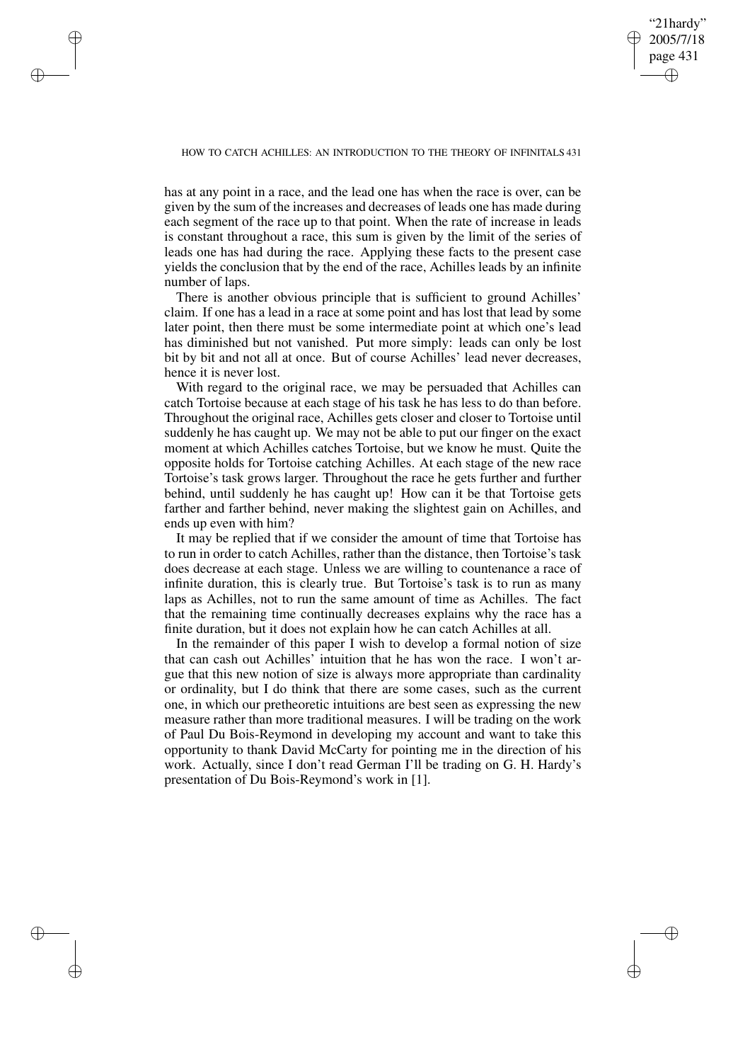# "21hardy" 2005/7/18 page 431 ✐ ✐

✐

✐

## HOW TO CATCH ACHILLES: AN INTRODUCTION TO THE THEORY OF INFINITALS 431

✐

✐

✐

✐

has at any point in a race, and the lead one has when the race is over, can be given by the sum of the increases and decreases of leads one has made during each segment of the race up to that point. When the rate of increase in leads is constant throughout a race, this sum is given by the limit of the series of leads one has had during the race. Applying these facts to the present case yields the conclusion that by the end of the race, Achilles leads by an infinite number of laps.

There is another obvious principle that is sufficient to ground Achilles' claim. If one has a lead in a race at some point and has lost that lead by some later point, then there must be some intermediate point at which one's lead has diminished but not vanished. Put more simply: leads can only be lost bit by bit and not all at once. But of course Achilles' lead never decreases, hence it is never lost.

With regard to the original race, we may be persuaded that Achilles can catch Tortoise because at each stage of his task he has less to do than before. Throughout the original race, Achilles gets closer and closer to Tortoise until suddenly he has caught up. We may not be able to put our finger on the exact moment at which Achilles catches Tortoise, but we know he must. Quite the opposite holds for Tortoise catching Achilles. At each stage of the new race Tortoise's task grows larger. Throughout the race he gets further and further behind, until suddenly he has caught up! How can it be that Tortoise gets farther and farther behind, never making the slightest gain on Achilles, and ends up even with him?

It may be replied that if we consider the amount of time that Tortoise has to run in order to catch Achilles, rather than the distance, then Tortoise's task does decrease at each stage. Unless we are willing to countenance a race of infinite duration, this is clearly true. But Tortoise's task is to run as many laps as Achilles, not to run the same amount of time as Achilles. The fact that the remaining time continually decreases explains why the race has a finite duration, but it does not explain how he can catch Achilles at all.

In the remainder of this paper I wish to develop a formal notion of size that can cash out Achilles' intuition that he has won the race. I won't argue that this new notion of size is always more appropriate than cardinality or ordinality, but I do think that there are some cases, such as the current one, in which our pretheoretic intuitions are best seen as expressing the new measure rather than more traditional measures. I will be trading on the work of Paul Du Bois-Reymond in developing my account and want to take this opportunity to thank David McCarty for pointing me in the direction of his work. Actually, since I don't read German I'll be trading on G. H. Hardy's presentation of Du Bois-Reymond's work in [1].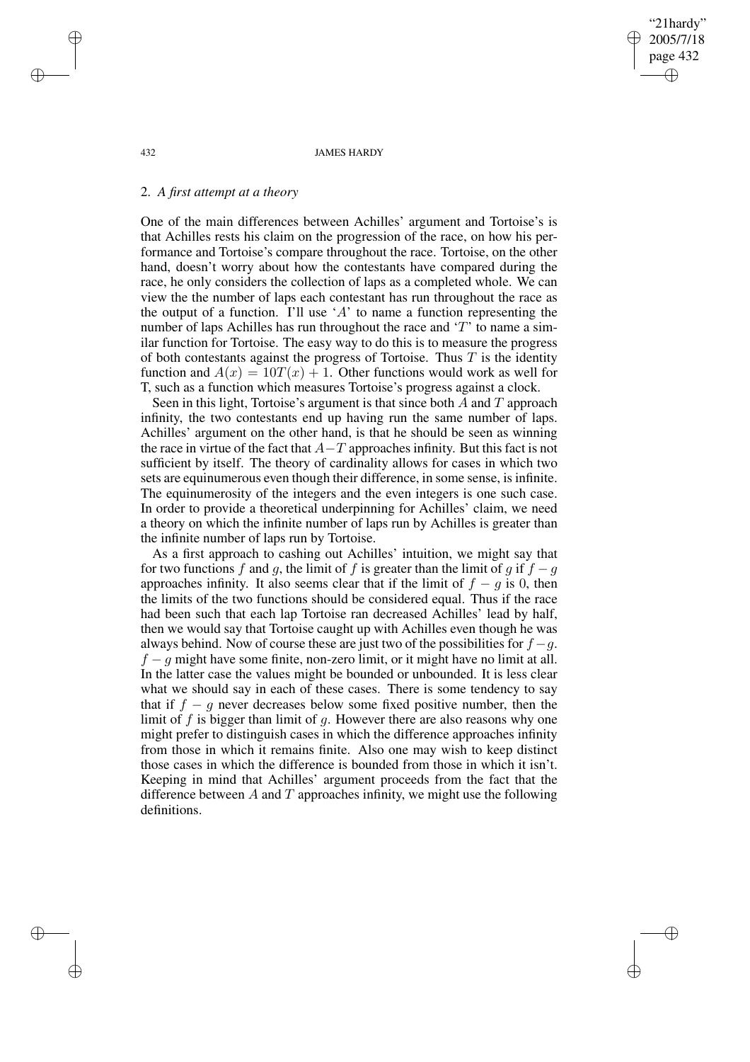"21hardy" 2005/7/18 page 432 ✐ ✐

✐

✐

#### 432 JAMES HARDY

# 2. *A first attempt at a theory*

One of the main differences between Achilles' argument and Tortoise's is that Achilles rests his claim on the progression of the race, on how his performance and Tortoise's compare throughout the race. Tortoise, on the other hand, doesn't worry about how the contestants have compared during the race, he only considers the collection of laps as a completed whole. We can view the the number of laps each contestant has run throughout the race as the output of a function. I'll use 'A' to name a function representing the number of laps Achilles has run throughout the race and 'T' to name a similar function for Tortoise. The easy way to do this is to measure the progress of both contestants against the progress of Tortoise. Thus  $T$  is the identity function and  $A(x) = 10T(x) + 1$ . Other functions would work as well for T, such as a function which measures Tortoise's progress against a clock.

Seen in this light, Tortoise's argument is that since both  $A$  and  $T$  approach infinity, the two contestants end up having run the same number of laps. Achilles' argument on the other hand, is that he should be seen as winning the race in virtue of the fact that  $A-T$  approaches infinity. But this fact is not sufficient by itself. The theory of cardinality allows for cases in which two sets are equinumerous even though their difference, in some sense, is infinite. The equinumerosity of the integers and the even integers is one such case. In order to provide a theoretical underpinning for Achilles' claim, we need a theory on which the infinite number of laps run by Achilles is greater than the infinite number of laps run by Tortoise.

As a first approach to cashing out Achilles' intuition, we might say that for two functions f and g, the limit of f is greater than the limit of g if  $f - g$ approaches infinity. It also seems clear that if the limit of  $f - g$  is 0, then the limits of the two functions should be considered equal. Thus if the race had been such that each lap Tortoise ran decreased Achilles' lead by half, then we would say that Tortoise caught up with Achilles even though he was always behind. Now of course these are just two of the possibilities for  $f - q$ .  $f - g$  might have some finite, non-zero limit, or it might have no limit at all. In the latter case the values might be bounded or unbounded. It is less clear what we should say in each of these cases. There is some tendency to say that if  $f - g$  never decreases below some fixed positive number, then the limit of  $f$  is bigger than limit of  $g$ . However there are also reasons why one might prefer to distinguish cases in which the difference approaches infinity from those in which it remains finite. Also one may wish to keep distinct those cases in which the difference is bounded from those in which it isn't. Keeping in mind that Achilles' argument proceeds from the fact that the difference between  $A$  and  $T$  approaches infinity, we might use the following definitions.

✐

✐

✐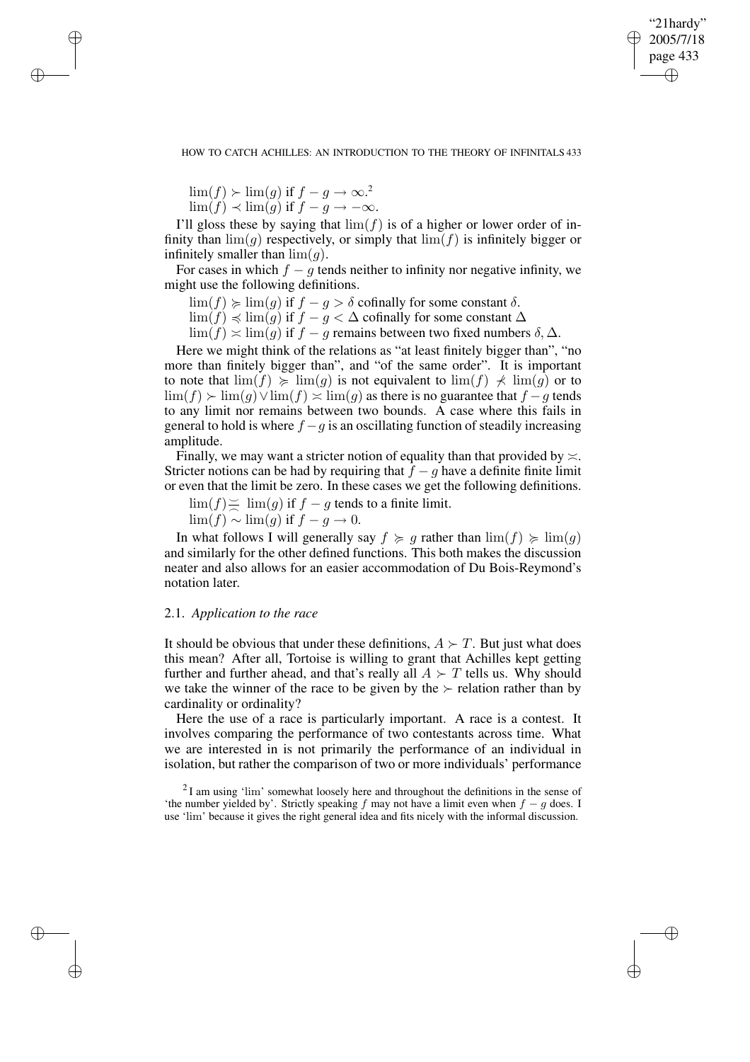✐

## HOW TO CATCH ACHILLES: AN INTRODUCTION TO THE THEORY OF INFINITALS 433

 $\lim(f) \succ \lim(g)$  if  $f - g \rightarrow \infty$ .<sup>2</sup>

✐

✐

✐

✐

 $\lim(f) \prec \lim(g)$  if  $f - g \rightarrow -\infty$ .

I'll gloss these by saying that  $\lim(f)$  is of a higher or lower order of infinity than  $\lim(g)$  respectively, or simply that  $\lim(f)$  is infinitely bigger or infinitely smaller than  $\lim(q)$ .

For cases in which  $f - q$  tends neither to infinity nor negative infinity, we might use the following definitions.

 $\lim(f) \geq \lim(g)$  if  $f - g > \delta$  cofinally for some constant  $\delta$ .

 $\lim(f) \preccurlyeq \lim(g)$  if  $f - g < \Delta$  cofinally for some constant  $\Delta$ 

 $\lim(f) \approx \lim(g)$  if  $f - g$  remains between two fixed numbers  $\delta, \Delta$ .

Here we might think of the relations as "at least finitely bigger than", "no more than finitely bigger than", and "of the same order". It is important to note that  $\lim(f) \ge \lim(g)$  is not equivalent to  $\lim(f) \ne \lim(g)$  or to  $\lim(f)$  >  $\lim(g)$   $\vee$   $\lim(f)$   $\asymp$   $\lim(g)$  as there is no guarantee that  $f - g$  tends to any limit nor remains between two bounds. A case where this fails in general to hold is where  $f - g$  is an oscillating function of steadily increasing amplitude.

Finally, we may want a stricter notion of equality than that provided by  $\approx$ . Stricter notions can be had by requiring that  $f - q$  have a definite finite limit or even that the limit be zero. In these cases we get the following definitions.

 $\lim(f) \ge \lim(g)$  if  $f - g$  tends to a finite limit.

 $\lim(f) \sim \lim(g)$  if  $f - g \to 0$ .

In what follows I will generally say  $f \geq g$  rather than  $\lim(f) \geq \lim(g)$ and similarly for the other defined functions. This both makes the discussion neater and also allows for an easier accommodation of Du Bois-Reymond's notation later.

# 2.1. *Application to the race*

It should be obvious that under these definitions,  $A \succ T$ . But just what does this mean? After all, Tortoise is willing to grant that Achilles kept getting further and further ahead, and that's really all  $A \succ T$  tells us. Why should we take the winner of the race to be given by the  $\succ$  relation rather than by cardinality or ordinality?

Here the use of a race is particularly important. A race is a contest. It involves comparing the performance of two contestants across time. What we are interested in is not primarily the performance of an individual in isolation, but rather the comparison of two or more individuals' performance

 $2I$  am using 'lim' somewhat loosely here and throughout the definitions in the sense of 'the number yielded by'. Strictly speaking f may not have a limit even when  $f - g$  does. I use 'lim' because it gives the right general idea and fits nicely with the informal discussion.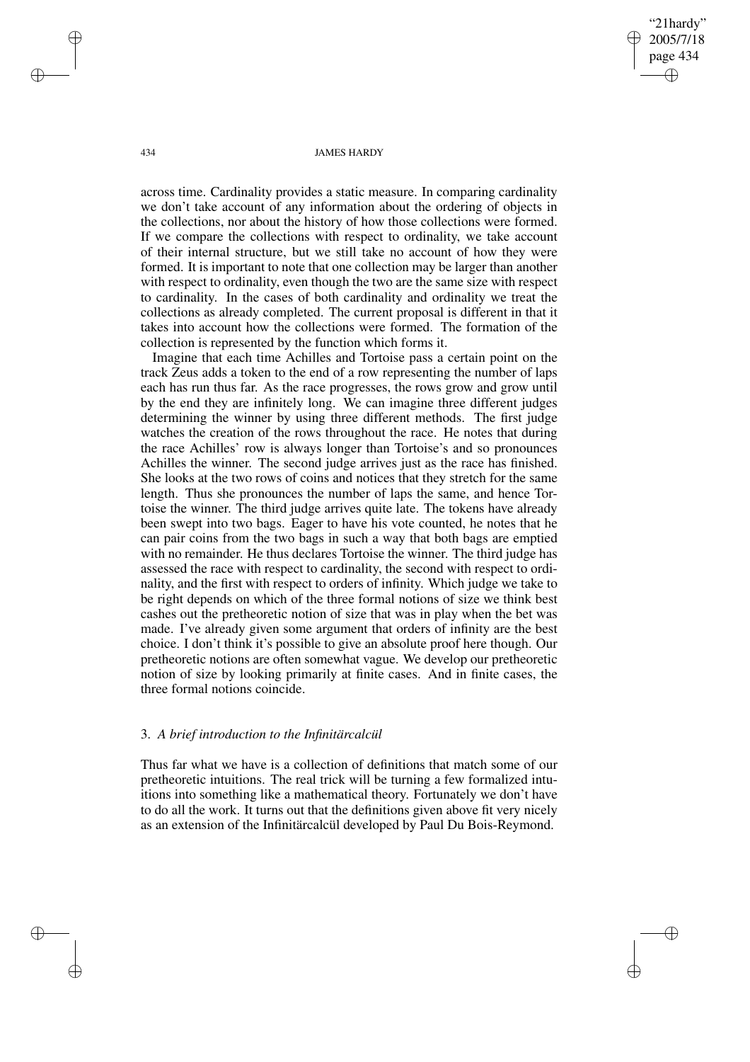"21hardy" 2005/7/18 page 434 ✐ ✐

✐

✐

### 434 JAMES HARDY

across time. Cardinality provides a static measure. In comparing cardinality we don't take account of any information about the ordering of objects in the collections, nor about the history of how those collections were formed. If we compare the collections with respect to ordinality, we take account of their internal structure, but we still take no account of how they were formed. It is important to note that one collection may be larger than another with respect to ordinality, even though the two are the same size with respect to cardinality. In the cases of both cardinality and ordinality we treat the collections as already completed. The current proposal is different in that it takes into account how the collections were formed. The formation of the collection is represented by the function which forms it.

Imagine that each time Achilles and Tortoise pass a certain point on the track Zeus adds a token to the end of a row representing the number of laps each has run thus far. As the race progresses, the rows grow and grow until by the end they are infinitely long. We can imagine three different judges determining the winner by using three different methods. The first judge watches the creation of the rows throughout the race. He notes that during the race Achilles' row is always longer than Tortoise's and so pronounces Achilles the winner. The second judge arrives just as the race has finished. She looks at the two rows of coins and notices that they stretch for the same length. Thus she pronounces the number of laps the same, and hence Tortoise the winner. The third judge arrives quite late. The tokens have already been swept into two bags. Eager to have his vote counted, he notes that he can pair coins from the two bags in such a way that both bags are emptied with no remainder. He thus declares Tortoise the winner. The third judge has assessed the race with respect to cardinality, the second with respect to ordinality, and the first with respect to orders of infinity. Which judge we take to be right depends on which of the three formal notions of size we think best cashes out the pretheoretic notion of size that was in play when the bet was made. I've already given some argument that orders of infinity are the best choice. I don't think it's possible to give an absolute proof here though. Our pretheoretic notions are often somewhat vague. We develop our pretheoretic notion of size by looking primarily at finite cases. And in finite cases, the three formal notions coincide.

## 3. *A brief introduction to the Infinitärcalcül*

Thus far what we have is a collection of definitions that match some of our pretheoretic intuitions. The real trick will be turning a few formalized intuitions into something like a mathematical theory. Fortunately we don't have to do all the work. It turns out that the definitions given above fit very nicely as an extension of the Infinitärcalcül developed by Paul Du Bois-Reymond.

✐

✐

✐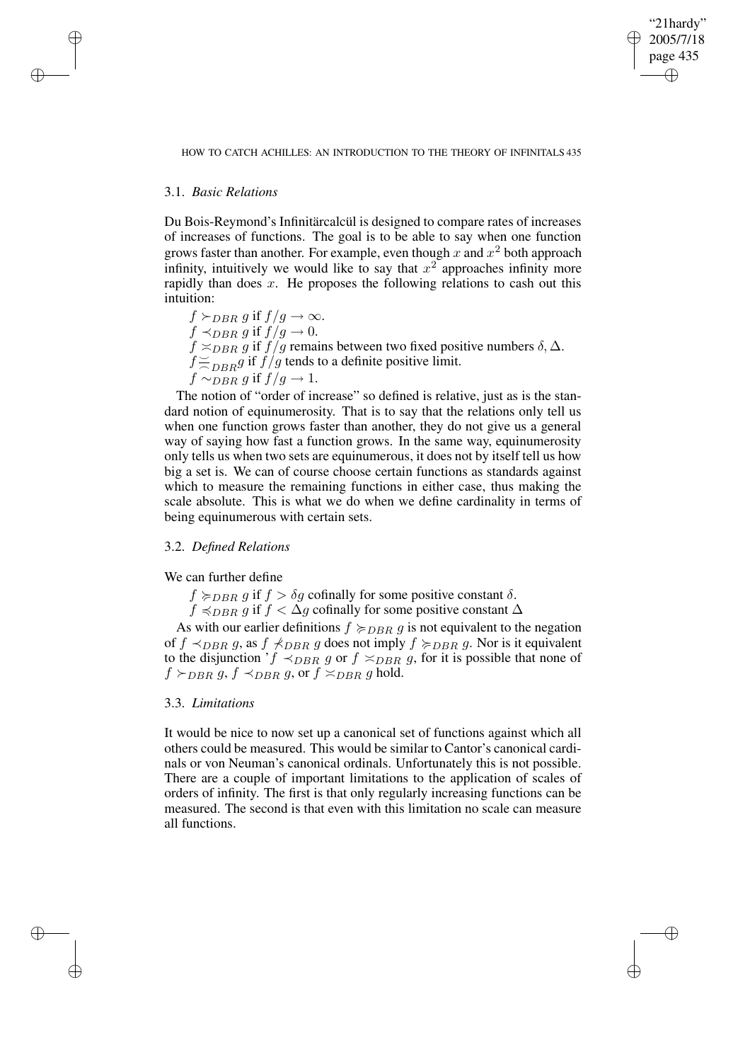✐

## HOW TO CATCH ACHILLES: AN INTRODUCTION TO THE THEORY OF INFINITALS 435

# 3.1. *Basic Relations*

✐

✐

✐

✐

Du Bois-Reymond's Infinitärcalcül is designed to compare rates of increases of increases of functions. The goal is to be able to say when one function grows faster than another. For example, even though x and  $x^2$  both approach infinity, intuitively we would like to say that  $x^2$  approaches infinity more rapidly than does  $x$ . He proposes the following relations to cash out this intuition:

 $f \succ_{DBR} g$  if  $f/g \to \infty$ .  $f \prec_{DBR} g$  if  $f/g \to 0$ .  $f \simeq_{DBR} g$  if  $f/g$  remains between two fixed positive numbers  $\delta$ ,  $\Delta$ .  $f\geq$  $\approx_{DBR} g$  if  $f/g$  tends to a definite positive limit.  $f \sim_{DBR} g$  if  $f/g \to 1$ .

The notion of "order of increase" so defined is relative, just as is the standard notion of equinumerosity. That is to say that the relations only tell us when one function grows faster than another, they do not give us a general way of saying how fast a function grows. In the same way, equinumerosity only tells us when two sets are equinumerous, it does not by itself tell us how big a set is. We can of course choose certain functions as standards against which to measure the remaining functions in either case, thus making the scale absolute. This is what we do when we define cardinality in terms of being equinumerous with certain sets.

# 3.2. *Defined Relations*

We can further define

 $f \succ_{DBR} g$  if  $f > \delta g$  cofinally for some positive constant  $\delta$ .

 $f \preccurlyeq_{DBR} g$  if  $f < \Delta g$  cofinally for some positive constant  $\Delta$ 

As with our earlier definitions  $f \succcurlyeq_{DBR} g$  is not equivalent to the negation of  $f \prec_{DBR} g$ , as  $f \not\prec_{DBR} g$  does not imply  $f \not\succ_{DBR} g$ . Nor is it equivalent to the disjunction ' $f \prec_{DBR} g$  or  $f \asymp_{DBR} g$ , for it is possible that none of  $f \succ_{DBR} g$ ,  $f \prec_{DBR} g$ , or  $f \prec_{DBR} g$  hold.

# 3.3. *Limitations*

It would be nice to now set up a canonical set of functions against which all others could be measured. This would be similar to Cantor's canonical cardinals or von Neuman's canonical ordinals. Unfortunately this is not possible. There are a couple of important limitations to the application of scales of orders of infinity. The first is that only regularly increasing functions can be measured. The second is that even with this limitation no scale can measure all functions.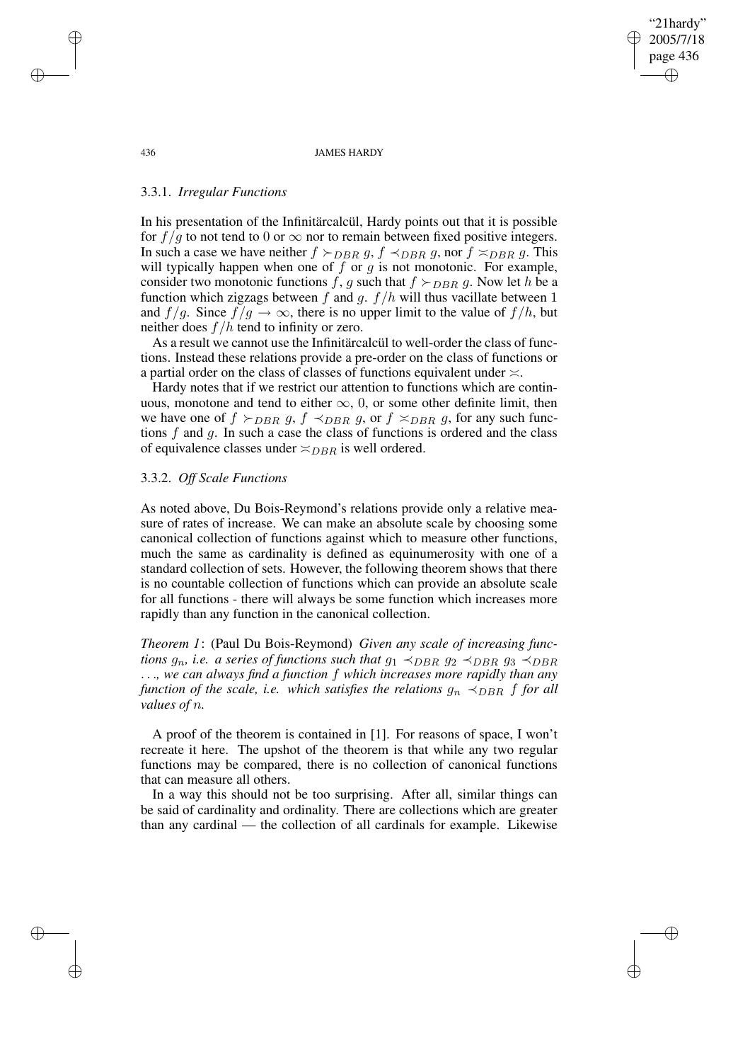436 JAMES HARDY

"21hardy" 2005/7/18 page 436

✐

✐

✐

✐

# 3.3.1. *Irregular Functions*

In his presentation of the Infinitärcalcül, Hardy points out that it is possible for  $f/g$  to not tend to 0 or  $\infty$  nor to remain between fixed positive integers. In such a case we have neither  $f \succ_{DBR} g$ ,  $f \prec_{DBR} g$ , nor  $f \prec_{DBR} g$ . This will typically happen when one of  $f$  or  $g$  is not monotonic. For example, consider two monotonic functions f, g such that  $f \succ_{DBR} g$ . Now let h be a function which zigzags between f and g.  $f/h$  will thus vacillate between 1 and  $f/g$ . Since  $f/g \to \infty$ , there is no upper limit to the value of  $f/h$ , but neither does  $f/h$  tend to infinity or zero.

As a result we cannot use the Infinitärcalcül to well-order the class of functions. Instead these relations provide a pre-order on the class of functions or a partial order on the class of classes of functions equivalent under  $\approx$ .

Hardy notes that if we restrict our attention to functions which are continuous, monotone and tend to either  $\infty$ , 0, or some other definite limit, then we have one of  $f \succ_{DBR} g$ ,  $f \prec_{DBR} g$ , or  $f \succ_{DBR} g$ , for any such functions  $f$  and  $g$ . In such a case the class of functions is ordered and the class of equivalence classes under  $\asymp_{DBR}$  is well ordered.

# 3.3.2. *Off Scale Functions*

As noted above, Du Bois-Reymond's relations provide only a relative measure of rates of increase. We can make an absolute scale by choosing some canonical collection of functions against which to measure other functions, much the same as cardinality is defined as equinumerosity with one of a standard collection of sets. However, the following theorem shows that there is no countable collection of functions which can provide an absolute scale for all functions - there will always be some function which increases more rapidly than any function in the canonical collection.

*Theorem 1*: (Paul Du Bois-Reymond) *Given any scale of increasing functions*  $g_n$ , *i.e. a series of functions such that*  $g_1 \prec_{DBR} g_2 \prec_{DBR} g_3 \prec_{DBR} g$ . . .*, we can always find a function* f *which increases more rapidly than any function of the scale, i.e. which satisfies the relations*  $g_n \prec_{DBR} f$  *for all values of* n*.*

A proof of the theorem is contained in [1]. For reasons of space, I won't recreate it here. The upshot of the theorem is that while any two regular functions may be compared, there is no collection of canonical functions that can measure all others.

In a way this should not be too surprising. After all, similar things can be said of cardinality and ordinality. There are collections which are greater than any cardinal — the collection of all cardinals for example. Likewise

✐

✐

✐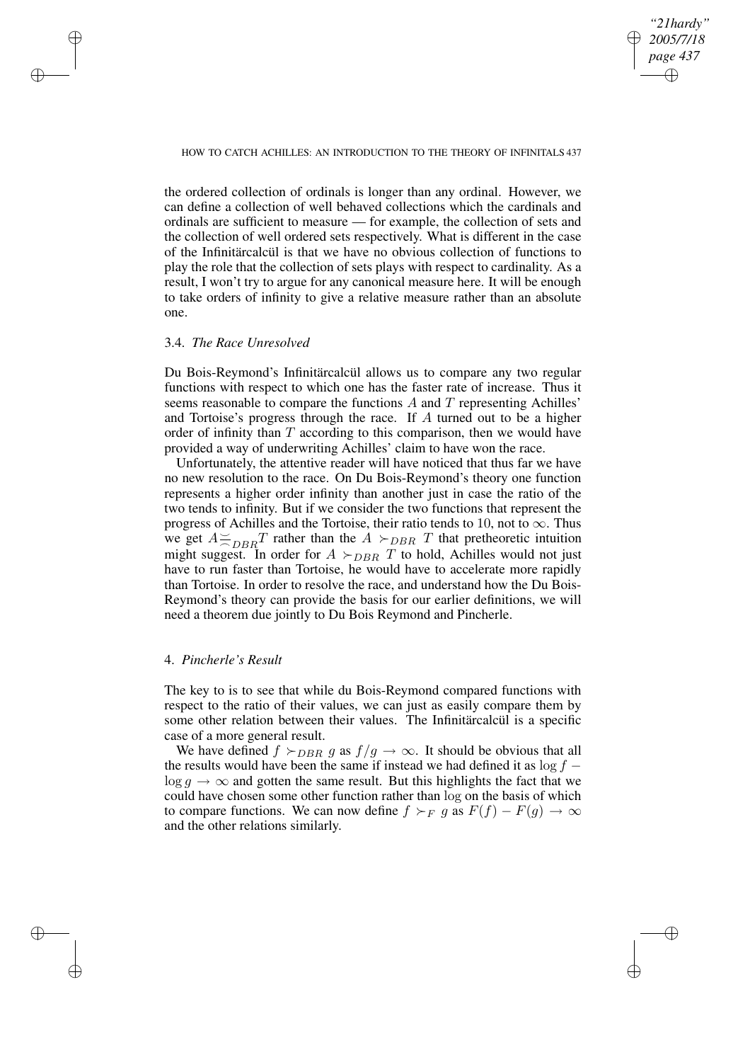*"21hardy" 2005/7/18 page 437* ✐ ✐

✐

✐

## HOW TO CATCH ACHILLES: AN INTRODUCTION TO THE THEORY OF INFINITALS 437

the ordered collection of ordinals is longer than any ordinal. However, we can define a collection of well behaved collections which the cardinals and ordinals are sufficient to measure — for example, the collection of sets and the collection of well ordered sets respectively. What is different in the case of the Infinitärcalcül is that we have no obvious collection of functions to play the role that the collection of sets plays with respect to cardinality. As a result, I won't try to argue for any canonical measure here. It will be enough to take orders of infinity to give a relative measure rather than an absolute one.

## 3.4. *The Race Unresolved*

✐

✐

✐

✐

Du Bois-Reymond's Infinitärcalcül allows us to compare any two regular functions with respect to which one has the faster rate of increase. Thus it seems reasonable to compare the functions  $A$  and  $T$  representing Achilles' and Tortoise's progress through the race. If A turned out to be a higher order of infinity than  $T$  according to this comparison, then we would have provided a way of underwriting Achilles' claim to have won the race.

Unfortunately, the attentive reader will have noticed that thus far we have no new resolution to the race. On Du Bois-Reymond's theory one function represents a higher order infinity than another just in case the ratio of the two tends to infinity. But if we consider the two functions that represent the progress of Achilles and the Tortoise, their ratio tends to 10, not to  $\infty$ . Thus we get  $A \leq$  $\approx_{DBR} T$  rather than the  $A >_{DBR} T$  that pretheoretic intuition might suggest. In order for  $A \succ_{DBR} T$  to hold, Achilles would not just have to run faster than Tortoise, he would have to accelerate more rapidly than Tortoise. In order to resolve the race, and understand how the Du Bois-Reymond's theory can provide the basis for our earlier definitions, we will need a theorem due jointly to Du Bois Reymond and Pincherle.

# 4. *Pincherle's Result*

The key to is to see that while du Bois-Reymond compared functions with respect to the ratio of their values, we can just as easily compare them by some other relation between their values. The Infinitärcalcül is a specific case of a more general result.

We have defined  $f \succ_{DBR} g$  as  $f/g \to \infty$ . It should be obvious that all the results would have been the same if instead we had defined it as  $log f \log q \rightarrow \infty$  and gotten the same result. But this highlights the fact that we could have chosen some other function rather than log on the basis of which to compare functions. We can now define  $f \succ_F g$  as  $F(f) - F(g) \to \infty$ and the other relations similarly.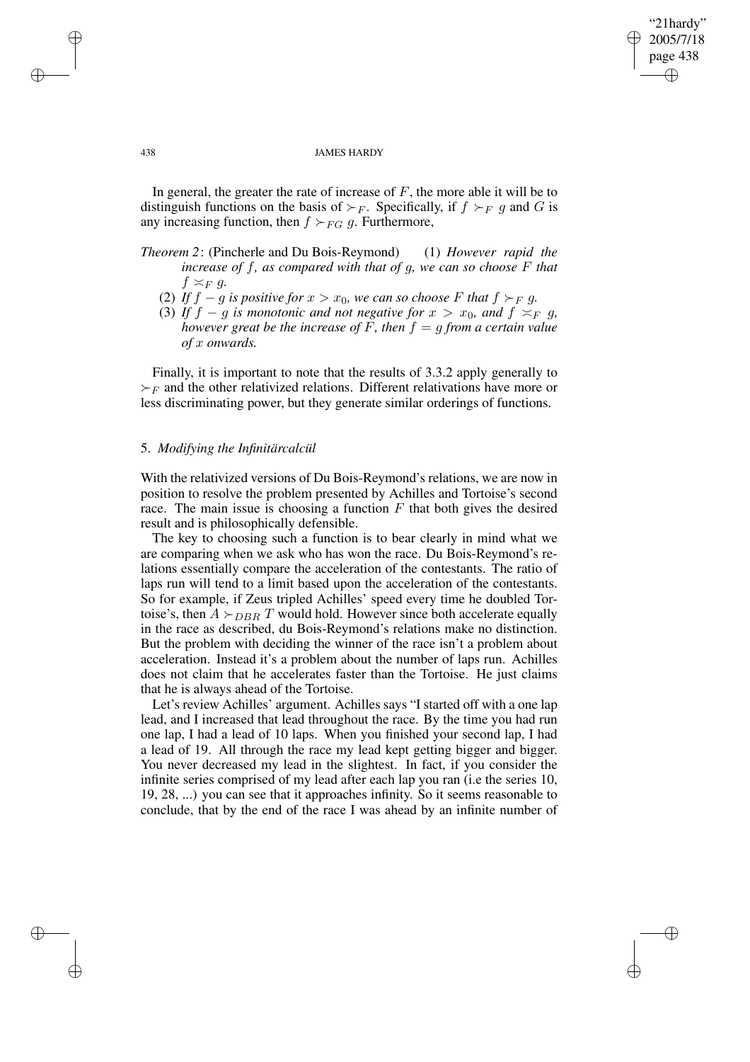"21hardy" 2005/7/18 page 438 ✐ ✐

✐

✐

#### 438 JAMES HARDY

In general, the greater the rate of increase of  $F$ , the more able it will be to distinguish functions on the basis of  $\succ_F$ . Specifically, if  $f \succ_F g$  and G is any increasing function, then  $f \succ_{FG} g$ . Furthermore,

- *Theorem 2*: (Pincherle and Du Bois-Reymond) (1) *However rapid the increase of* f*, as compared with that of* g*, we can so choose* F *that*  $f \asymp_F g$ .
	- (2) If  $f g$  is positive for  $x > x_0$ , we can so choose F that  $f \succ_F g$ .
	- (3) If  $f g$  is monotonic and not negative for  $x > x_0$ , and  $f \asymp_F g$ , *however* great be the *increase* of F, then  $f = g$  from a certain value *of* x *onwards.*

Finally, it is important to note that the results of 3.3.2 apply generally to  $\succ_F$  and the other relativized relations. Different relativations have more or less discriminating power, but they generate similar orderings of functions.

# 5. *Modifying the Infinitärcalcül*

With the relativized versions of Du Bois-Reymond's relations, we are now in position to resolve the problem presented by Achilles and Tortoise's second race. The main issue is choosing a function  $F$  that both gives the desired result and is philosophically defensible.

The key to choosing such a function is to bear clearly in mind what we are comparing when we ask who has won the race. Du Bois-Reymond's relations essentially compare the acceleration of the contestants. The ratio of laps run will tend to a limit based upon the acceleration of the contestants. So for example, if Zeus tripled Achilles' speed every time he doubled Tortoise's, then  $A \succ_{DBR} T$  would hold. However since both accelerate equally in the race as described, du Bois-Reymond's relations make no distinction. But the problem with deciding the winner of the race isn't a problem about acceleration. Instead it's a problem about the number of laps run. Achilles does not claim that he accelerates faster than the Tortoise. He just claims that he is always ahead of the Tortoise.

Let's review Achilles' argument. Achilles says "I started off with a one lap lead, and I increased that lead throughout the race. By the time you had run one lap, I had a lead of 10 laps. When you finished your second lap, I had a lead of 19. All through the race my lead kept getting bigger and bigger. You never decreased my lead in the slightest. In fact, if you consider the infinite series comprised of my lead after each lap you ran (i.e the series 10, 19, 28, ...) you can see that it approaches infinity. So it seems reasonable to conclude, that by the end of the race I was ahead by an infinite number of

✐

✐

✐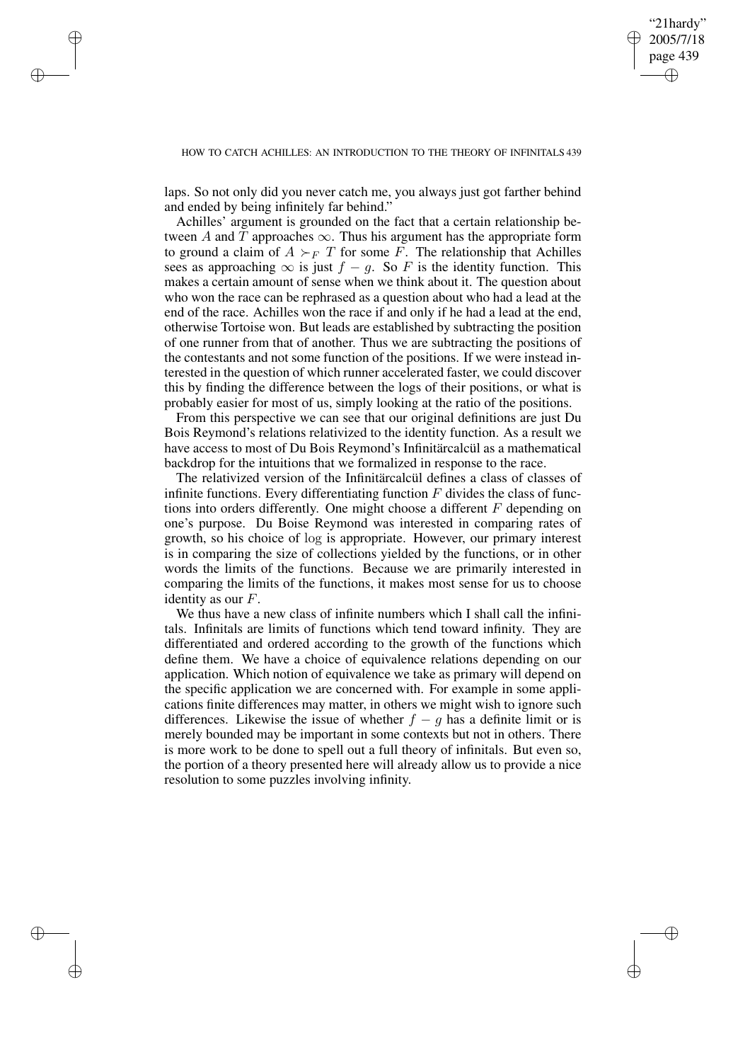✐

## HOW TO CATCH ACHILLES: AN INTRODUCTION TO THE THEORY OF INFINITALS 439

laps. So not only did you never catch me, you always just got farther behind and ended by being infinitely far behind."

✐

✐

✐

✐

Achilles' argument is grounded on the fact that a certain relationship between A and T approaches  $\infty$ . Thus his argument has the appropriate form to ground a claim of  $A \succ_F T$  for some F. The relationship that Achilles sees as approaching  $\infty$  is just  $f - g$ . So F is the identity function. This makes a certain amount of sense when we think about it. The question about who won the race can be rephrased as a question about who had a lead at the end of the race. Achilles won the race if and only if he had a lead at the end, otherwise Tortoise won. But leads are established by subtracting the position of one runner from that of another. Thus we are subtracting the positions of the contestants and not some function of the positions. If we were instead interested in the question of which runner accelerated faster, we could discover this by finding the difference between the logs of their positions, or what is probably easier for most of us, simply looking at the ratio of the positions.

From this perspective we can see that our original definitions are just Du Bois Reymond's relations relativized to the identity function. As a result we have access to most of Du Bois Reymond's Infinitärcalcül as a mathematical backdrop for the intuitions that we formalized in response to the race.

The relativized version of the Infinitärcalcül defines a class of classes of infinite functions. Every differentiating function  $F$  divides the class of functions into orders differently. One might choose a different F depending on one's purpose. Du Boise Reymond was interested in comparing rates of growth, so his choice of log is appropriate. However, our primary interest is in comparing the size of collections yielded by the functions, or in other words the limits of the functions. Because we are primarily interested in comparing the limits of the functions, it makes most sense for us to choose identity as our F.

We thus have a new class of infinite numbers which I shall call the infinitals. Infinitals are limits of functions which tend toward infinity. They are differentiated and ordered according to the growth of the functions which define them. We have a choice of equivalence relations depending on our application. Which notion of equivalence we take as primary will depend on the specific application we are concerned with. For example in some applications finite differences may matter, in others we might wish to ignore such differences. Likewise the issue of whether  $f - g$  has a definite limit or is merely bounded may be important in some contexts but not in others. There is more work to be done to spell out a full theory of infinitals. But even so, the portion of a theory presented here will already allow us to provide a nice resolution to some puzzles involving infinity.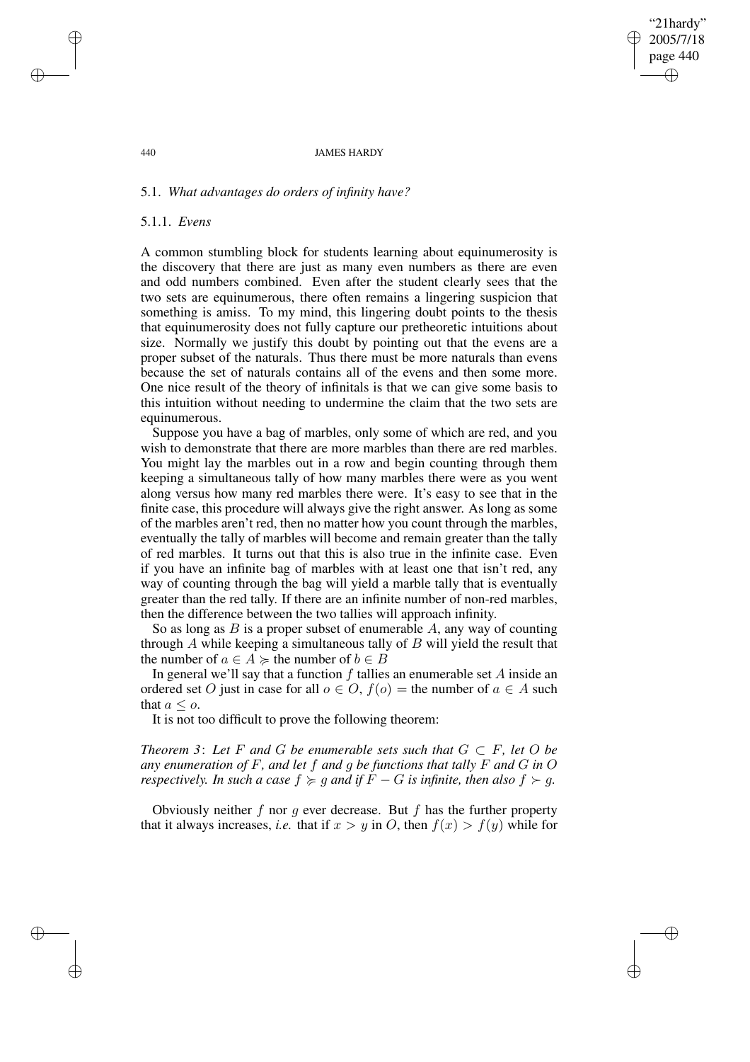"21hardy" 2005/7/18 page 440 ✐ ✐

✐

✐

### 440 JAMES HARDY

# 5.1. *What advantages do orders of infinity have?*

## 5.1.1. *Evens*

A common stumbling block for students learning about equinumerosity is the discovery that there are just as many even numbers as there are even and odd numbers combined. Even after the student clearly sees that the two sets are equinumerous, there often remains a lingering suspicion that something is amiss. To my mind, this lingering doubt points to the thesis that equinumerosity does not fully capture our pretheoretic intuitions about size. Normally we justify this doubt by pointing out that the evens are a proper subset of the naturals. Thus there must be more naturals than evens because the set of naturals contains all of the evens and then some more. One nice result of the theory of infinitals is that we can give some basis to this intuition without needing to undermine the claim that the two sets are equinumerous.

Suppose you have a bag of marbles, only some of which are red, and you wish to demonstrate that there are more marbles than there are red marbles. You might lay the marbles out in a row and begin counting through them keeping a simultaneous tally of how many marbles there were as you went along versus how many red marbles there were. It's easy to see that in the finite case, this procedure will always give the right answer. As long as some of the marbles aren't red, then no matter how you count through the marbles, eventually the tally of marbles will become and remain greater than the tally of red marbles. It turns out that this is also true in the infinite case. Even if you have an infinite bag of marbles with at least one that isn't red, any way of counting through the bag will yield a marble tally that is eventually greater than the red tally. If there are an infinite number of non-red marbles, then the difference between the two tallies will approach infinity.

So as long as  $B$  is a proper subset of enumerable  $A$ , any way of counting through  $A$  while keeping a simultaneous tally of  $B$  will yield the result that the number of  $a \in A \succcurlyeq$  the number of  $b \in B$ 

In general we'll say that a function  $f$  tallies an enumerable set  $A$  inside an ordered set O just in case for all  $o \in O$ ,  $f(o)$  = the number of  $a \in A$  such that  $a \leq o$ .

It is not too difficult to prove the following theorem:

*Theorem* 3: Let  $F$  *and*  $G$  *be enumerable sets such that*  $G \subset F$ *, let*  $O$  *be any enumeration of* F*, and let* f *and* g *be functions that tally* F *and* G *in* O *respectively. In such a case*  $f \geq q$  *and if*  $\overline{F} - G$  *is infinite, then also*  $f \geq q$ *.* 

Obviously neither  $f$  nor  $g$  ever decrease. But  $f$  has the further property that it always increases, *i.e.* that if  $x > y$  in O, then  $f(x) > f(y)$  while for

✐

✐

✐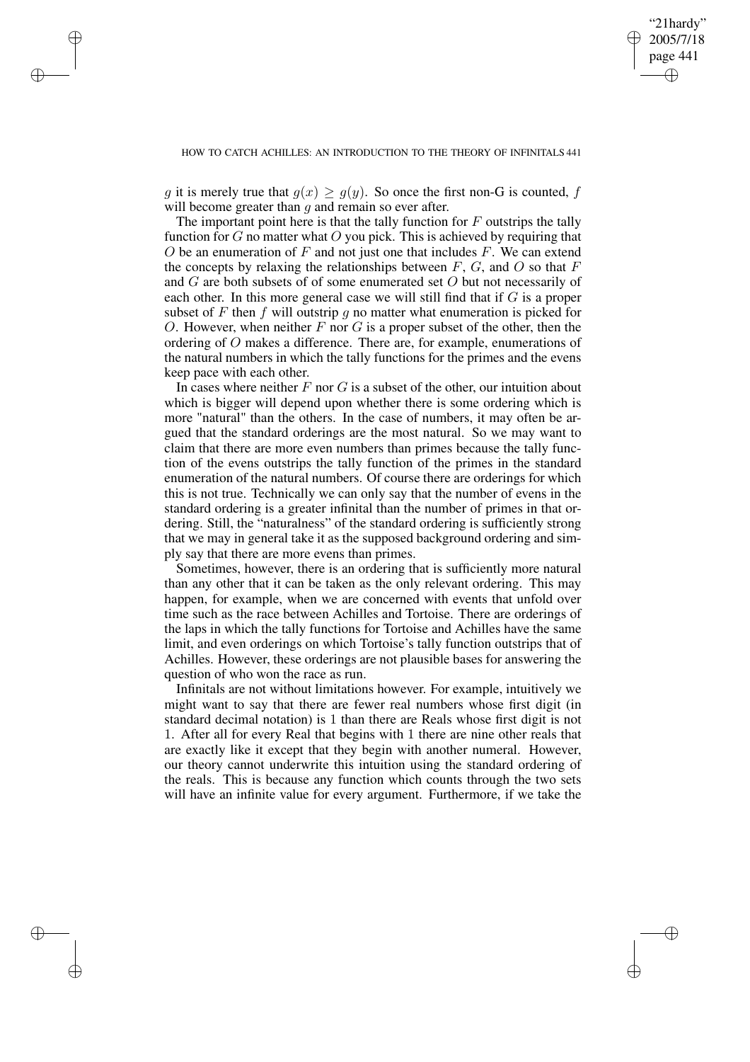✐

✐

✐

✐

✐

g it is merely true that  $g(x) \ge g(y)$ . So once the first non-G is counted, f will become greater than  $q$  and remain so ever after.

The important point here is that the tally function for  $F$  outstrips the tally function for  $G$  no matter what  $O$  you pick. This is achieved by requiring that O be an enumeration of  $F$  and not just one that includes  $F$ . We can extend the concepts by relaxing the relationships between  $F$ ,  $G$ , and  $O$  so that  $F$ and G are both subsets of of some enumerated set O but not necessarily of each other. In this more general case we will still find that if G is a proper subset of  $F$  then  $f$  will outstrip  $g$  no matter what enumeration is picked for O. However, when neither  $F$  nor  $G$  is a proper subset of the other, then the ordering of O makes a difference. There are, for example, enumerations of the natural numbers in which the tally functions for the primes and the evens keep pace with each other.

In cases where neither  $F$  nor  $G$  is a subset of the other, our intuition about which is bigger will depend upon whether there is some ordering which is more "natural" than the others. In the case of numbers, it may often be argued that the standard orderings are the most natural. So we may want to claim that there are more even numbers than primes because the tally function of the evens outstrips the tally function of the primes in the standard enumeration of the natural numbers. Of course there are orderings for which this is not true. Technically we can only say that the number of evens in the standard ordering is a greater infinital than the number of primes in that ordering. Still, the "naturalness" of the standard ordering is sufficiently strong that we may in general take it as the supposed background ordering and simply say that there are more evens than primes.

Sometimes, however, there is an ordering that is sufficiently more natural than any other that it can be taken as the only relevant ordering. This may happen, for example, when we are concerned with events that unfold over time such as the race between Achilles and Tortoise. There are orderings of the laps in which the tally functions for Tortoise and Achilles have the same limit, and even orderings on which Tortoise's tally function outstrips that of Achilles. However, these orderings are not plausible bases for answering the question of who won the race as run.

Infinitals are not without limitations however. For example, intuitively we might want to say that there are fewer real numbers whose first digit (in standard decimal notation) is 1 than there are Reals whose first digit is not 1. After all for every Real that begins with 1 there are nine other reals that are exactly like it except that they begin with another numeral. However, our theory cannot underwrite this intuition using the standard ordering of the reals. This is because any function which counts through the two sets will have an infinite value for every argument. Furthermore, if we take the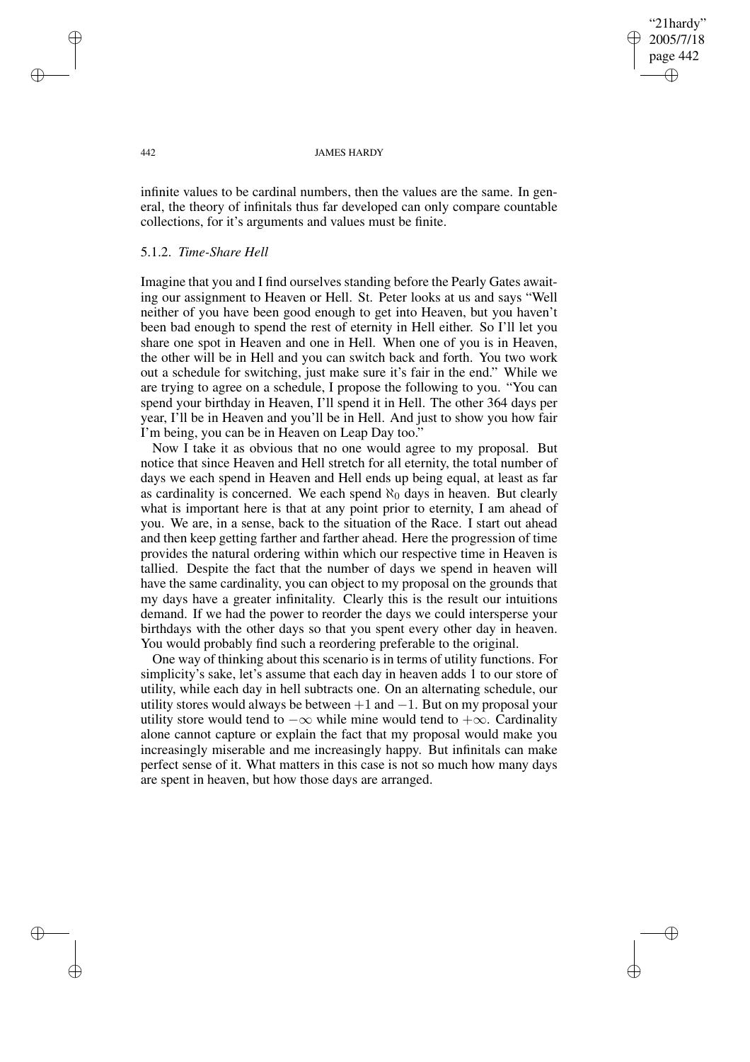"21hardy" 2005/7/18 page 442 ✐ ✐

✐

✐

#### 442 JAMES HARDY

infinite values to be cardinal numbers, then the values are the same. In general, the theory of infinitals thus far developed can only compare countable collections, for it's arguments and values must be finite.

## 5.1.2. *Time-Share Hell*

Imagine that you and I find ourselves standing before the Pearly Gates awaiting our assignment to Heaven or Hell. St. Peter looks at us and says "Well neither of you have been good enough to get into Heaven, but you haven't been bad enough to spend the rest of eternity in Hell either. So I'll let you share one spot in Heaven and one in Hell. When one of you is in Heaven, the other will be in Hell and you can switch back and forth. You two work out a schedule for switching, just make sure it's fair in the end." While we are trying to agree on a schedule, I propose the following to you. "You can spend your birthday in Heaven, I'll spend it in Hell. The other 364 days per year, I'll be in Heaven and you'll be in Hell. And just to show you how fair I'm being, you can be in Heaven on Leap Day too."

Now I take it as obvious that no one would agree to my proposal. But notice that since Heaven and Hell stretch for all eternity, the total number of days we each spend in Heaven and Hell ends up being equal, at least as far as cardinality is concerned. We each spend  $\aleph_0$  days in heaven. But clearly what is important here is that at any point prior to eternity, I am ahead of you. We are, in a sense, back to the situation of the Race. I start out ahead and then keep getting farther and farther ahead. Here the progression of time provides the natural ordering within which our respective time in Heaven is tallied. Despite the fact that the number of days we spend in heaven will have the same cardinality, you can object to my proposal on the grounds that my days have a greater infinitality. Clearly this is the result our intuitions demand. If we had the power to reorder the days we could intersperse your birthdays with the other days so that you spent every other day in heaven. You would probably find such a reordering preferable to the original.

One way of thinking about this scenario is in terms of utility functions. For simplicity's sake, let's assume that each day in heaven adds 1 to our store of utility, while each day in hell subtracts one. On an alternating schedule, our utility stores would always be between  $+1$  and  $-1$ . But on my proposal your utility store would tend to  $-\infty$  while mine would tend to  $+\infty$ . Cardinality alone cannot capture or explain the fact that my proposal would make you increasingly miserable and me increasingly happy. But infinitals can make perfect sense of it. What matters in this case is not so much how many days are spent in heaven, but how those days are arranged.

✐

✐

✐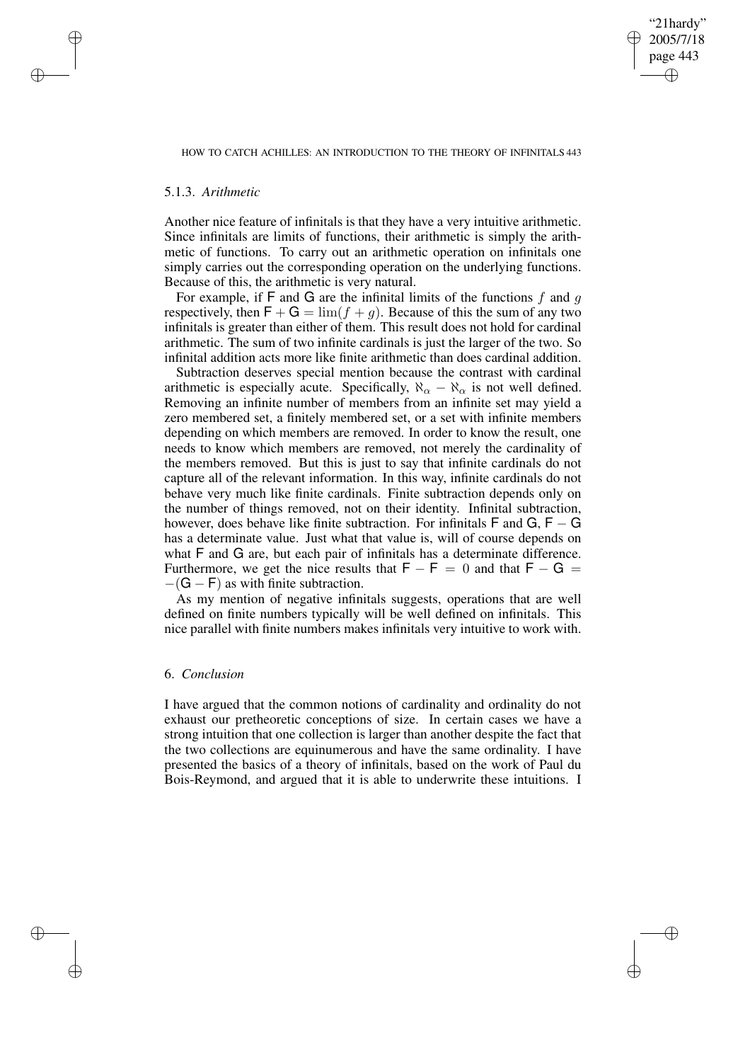✐

# 5.1.3. *Arithmetic*

✐

✐

✐

✐

Another nice feature of infinitals is that they have a very intuitive arithmetic. Since infinitals are limits of functions, their arithmetic is simply the arithmetic of functions. To carry out an arithmetic operation on infinitals one simply carries out the corresponding operation on the underlying functions. Because of this, the arithmetic is very natural.

For example, if  $F$  and  $G$  are the infinital limits of the functions  $f$  and  $g$ respectively, then  $\mathsf{F} + \mathsf{G} = \lim (f + g)$ . Because of this the sum of any two infinitals is greater than either of them. This result does not hold for cardinal arithmetic. The sum of two infinite cardinals is just the larger of the two. So infinital addition acts more like finite arithmetic than does cardinal addition.

Subtraction deserves special mention because the contrast with cardinal arithmetic is especially acute. Specifically,  $\aleph_{\alpha} - \aleph_{\alpha}$  is not well defined. Removing an infinite number of members from an infinite set may yield a zero membered set, a finitely membered set, or a set with infinite members depending on which members are removed. In order to know the result, one needs to know which members are removed, not merely the cardinality of the members removed. But this is just to say that infinite cardinals do not capture all of the relevant information. In this way, infinite cardinals do not behave very much like finite cardinals. Finite subtraction depends only on the number of things removed, not on their identity. Infinital subtraction, however, does behave like finite subtraction. For infinitals  $\mathsf F$  and  $\mathsf G$ ,  $\mathsf F$  –  $\mathsf G$ has a determinate value. Just what that value is, will of course depends on what F and G are, but each pair of infinitals has a determinate difference. Furthermore, we get the nice results that  $F - F = 0$  and that  $F - G =$  $-(G - F)$  as with finite subtraction.

As my mention of negative infinitals suggests, operations that are well defined on finite numbers typically will be well defined on infinitals. This nice parallel with finite numbers makes infinitals very intuitive to work with.

## 6. *Conclusion*

I have argued that the common notions of cardinality and ordinality do not exhaust our pretheoretic conceptions of size. In certain cases we have a strong intuition that one collection is larger than another despite the fact that the two collections are equinumerous and have the same ordinality. I have presented the basics of a theory of infinitals, based on the work of Paul du Bois-Reymond, and argued that it is able to underwrite these intuitions. I